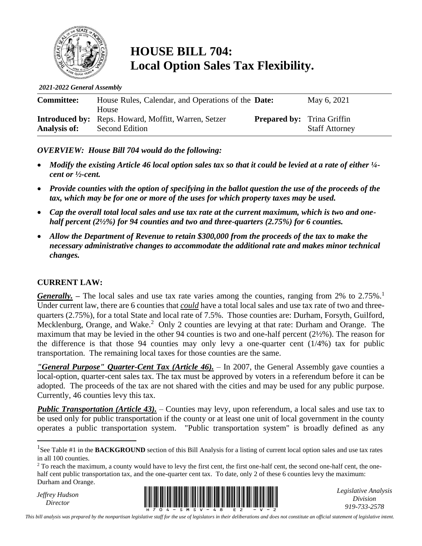

## **HOUSE BILL 704: Local Option Sales Tax Flexibility.**

*2021-2022 General Assembly*

| <b>Committee:</b>   | House Rules, Calendar, and Operations of the <b>Date:</b>   |                                   | May 6, 2021           |
|---------------------|-------------------------------------------------------------|-----------------------------------|-----------------------|
|                     | <b>House</b>                                                |                                   |                       |
|                     | <b>Introduced by:</b> Reps. Howard, Moffitt, Warren, Setzer | <b>Prepared by:</b> Trina Griffin |                       |
| <b>Analysis of:</b> | Second Edition                                              |                                   | <b>Staff Attorney</b> |

#### *OVERVIEW: House Bill 704 would do the following:*

- *Modify the existing Article 46 local option sales tax so that it could be levied at a rate of either ¼ cent or ½-cent.*
- *Provide counties with the option of specifying in the ballot question the use of the proceeds of the tax, which may be for one or more of the uses for which property taxes may be used.*
- *Cap the overall total local sales and use tax rate at the current maximum, which is two and onehalf percent (2½%) for 94 counties and two and three-quarters (2.75%) for 6 counties.*
- *Allow the Department of Revenue to retain \$300,000 from the proceeds of the tax to make the necessary administrative changes to accommodate the additional rate and makes minor technical changes.*

#### **CURRENT LAW:**

*Generally.* – The local sales and use tax rate varies among the counties, ranging from 2% to 2.75%.<sup>1</sup> Under current law, there are 6 counties that *could* have a total local sales and use tax rate of two and threequarters (2.75%), for a total State and local rate of 7.5%. Those counties are: Durham, Forsyth, Guilford, Mecklenburg, Orange, and Wake.<sup>2</sup> Only 2 counties are levying at that rate: Durham and Orange. The maximum that may be levied in the other 94 counties is two and one-half percent (2½%). The reason for the difference is that those 94 counties may only levy a one-quarter cent  $(1/4%)$  tax for public transportation. The remaining local taxes for those counties are the same.

*"General Purpose" Quarter-Cent Tax (Article 46).* – In 2007, the General Assembly gave counties a local-option, quarter-cent sales tax. The tax must be approved by voters in a referendum before it can be adopted. The proceeds of the tax are not shared with the cities and may be used for any public purpose. Currently, 46 counties levy this tax.

*Public Transportation (Article 43).* – Counties may levy, upon referendum, a local sales and use tax to be used only for public transportation if the county or at least one unit of local government in the county operates a public transportation system. "Public transportation system" is broadly defined as any

*Jeffrey Hudson*



*Legislative Analysis Division 919-733-2578*

*This bill analysis was prepared by the nonpartisan legislative staff for the use of legislators in their deliberations and does not constitute an official statement of legislative intent.*

<sup>&</sup>lt;sup>1</sup>See Table #1 in the **BACKGROUND** section of this Bill Analysis for a listing of current local option sales and use tax rates in all 100 counties.

<sup>&</sup>lt;sup>2</sup> To reach the maximum, a county would have to levy the first cent, the first one-half cent, the second one-half cent, the onehalf cent public transportation tax, and the one-quarter cent tax. To date, only 2 of these 6 counties levy the maximum: Durham and Orange.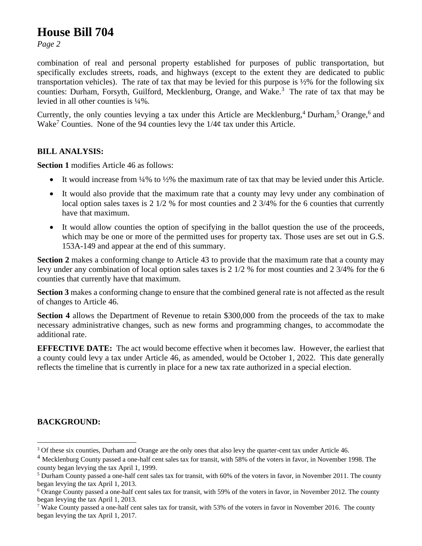## **House Bill 704**

*Page 2*

combination of real and personal property established for purposes of public transportation, but specifically excludes streets, roads, and highways (except to the extent they are dedicated to public transportation vehicles). The rate of tax that may be levied for this purpose is  $\frac{1}{2}\%$  for the following six counties: Durham, Forsyth, Guilford, Mecklenburg, Orange, and Wake.<sup>3</sup> The rate of tax that may be levied in all other counties is ¼%.

Currently, the only counties levying a tax under this Article are Mecklenburg,<sup>4</sup> Durham,<sup>5</sup> Orange,<sup>6</sup> and Wake<sup>7</sup> Counties. None of the 94 counties levy the  $1/4¢$  tax under this Article.

#### **BILL ANALYSIS:**

**Section 1** modifies Article 46 as follows:

- It would increase from  $\frac{1}{4}\%$  to  $\frac{1}{2}\%$  the maximum rate of tax that may be levied under this Article.
- It would also provide that the maximum rate that a county may levy under any combination of local option sales taxes is 2 1/2 % for most counties and 2 3/4% for the 6 counties that currently have that maximum.
- It would allow counties the option of specifying in the ballot question the use of the proceeds, which may be one or more of the permitted uses for property tax. Those uses are set out in G.S. 153A-149 and appear at the end of this summary.

**Section 2** makes a conforming change to Article 43 to provide that the maximum rate that a county may levy under any combination of local option sales taxes is 2 1/2 % for most counties and 2 3/4% for the 6 counties that currently have that maximum.

**Section 3** makes a conforming change to ensure that the combined general rate is not affected as the result of changes to Article 46.

**Section 4** allows the Department of Revenue to retain \$300,000 from the proceeds of the tax to make necessary administrative changes, such as new forms and programming changes, to accommodate the additional rate.

**EFFECTIVE DATE:** The act would become effective when it becomes law. However, the earliest that a county could levy a tax under Article 46, as amended, would be October 1, 2022. This date generally reflects the timeline that is currently in place for a new tax rate authorized in a special election.

#### **BACKGROUND:**

<sup>&</sup>lt;sup>3</sup> Of these six counties, Durham and Orange are the only ones that also levy the quarter-cent tax under Article 46.

<sup>&</sup>lt;sup>4</sup> Mecklenburg County passed a one-half cent sales tax for transit, with 58% of the voters in favor, in November 1998. The county began levying the tax April 1, 1999.

<sup>5</sup> Durham County passed a one-half cent sales tax for transit, with 60% of the voters in favor, in November 2011. The county began levying the tax April 1, 2013.

<sup>&</sup>lt;sup>6</sup> Orange County passed a one-half cent sales tax for transit, with 59% of the voters in favor, in November 2012. The county began levying the tax April 1, 2013.

<sup>&</sup>lt;sup>7</sup> Wake County passed a one-half cent sales tax for transit, with 53% of the voters in favor in November 2016. The county began levying the tax April 1, 2017.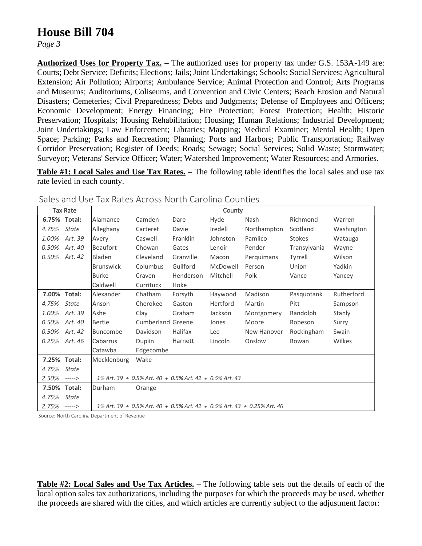## **House Bill 704**

*Page 3*

**Authorized Uses for Property Tax. –** The authorized uses for property tax under G.S. 153A-149 are: Courts; Debt Service; Deficits; Elections; Jails; Joint Undertakings; Schools; Social Services; Agricultural Extension; Air Pollution; Airports; Ambulance Service; Animal Protection and Control; Arts Programs and Museums; Auditoriums, Coliseums, and Convention and Civic Centers; Beach Erosion and Natural Disasters; Cemeteries; Civil Preparedness; Debts and Judgments; Defense of Employees and Officers; Economic Development; Energy Financing; Fire Protection; Forest Protection; Health; Historic Preservation; Hospitals; Housing Rehabilitation; Housing; Human Relations; Industrial Development; Joint Undertakings; Law Enforcement; Libraries; Mapping; Medical Examiner; Mental Health; Open Space; Parking; Parks and Recreation; Planning; Ports and Harbors; Public Transportation; Railway Corridor Preservation; Register of Deeds; Roads; Sewage; Social Services; Solid Waste; Stormwater; Surveyor; Veterans' Service Officer; Water; Watershed Improvement; Water Resources; and Armories.

**Table #1: Local Sales and Use Tax Rates. –** The following table identifies the local sales and use tax rate levied in each county.

|       | Tax Rate     | County           |                                                            |           |          |                                                                            |               |            |
|-------|--------------|------------------|------------------------------------------------------------|-----------|----------|----------------------------------------------------------------------------|---------------|------------|
|       | 6.75% Total: | Alamance         | Camden                                                     | Dare      | Hyde     | Nash                                                                       | Richmond      | Warren     |
| 4.75% | <b>State</b> | Alleghany        | Carteret                                                   | Davie     | Iredell  | Northampton                                                                | Scotland      | Washington |
| 1.00% | Art. 39      | Avery            | Caswell                                                    | Franklin  | Johnston | Pamlico                                                                    | <b>Stokes</b> | Watauga    |
| 0.50% | Art. 40      | <b>Beaufort</b>  | Chowan                                                     | Gates     | Lenoir   | Pender                                                                     | Transylvania  | Wayne      |
| 0.50% | Art. 42      | Bladen           | Cleveland                                                  | Granville | Macon    | Perquimans                                                                 | Tyrrell       | Wilson     |
|       |              | <b>Brunswick</b> | Columbus                                                   | Guilford  | McDowell | Person                                                                     | Union         | Yadkin     |
|       |              | <b>Burke</b>     | Craven                                                     | Henderson | Mitchell | Polk                                                                       | Vance         | Yancey     |
|       |              | Caldwell         | Currituck                                                  | Hoke      |          |                                                                            |               |            |
|       | 7.00% Total: | Alexander        | Chatham                                                    | Forsyth   | Haywood  | Madison                                                                    | Pasquotank    | Rutherford |
| 4.75% | <b>State</b> | Anson            | Cherokee                                                   | Gaston    | Hertford | Martin                                                                     | Pitt          | Sampson    |
| 1.00% | Art. 39      | Ashe             | Clay                                                       | Graham    | Jackson  | Montgomery                                                                 | Randolph      | Stanly     |
| 0.50% | Art. 40      | <b>Bertie</b>    | <b>Cumberland Greene</b>                                   |           | Jones    | Moore                                                                      | Robeson       | Surry      |
| 0.50% | Art. 42      | Buncombe         | Davidson                                                   | Halifax   | Lee      | New Hanover                                                                | Rockingham    | Swain      |
| 0.25% | Art. 46      | Cabarrus         | Duplin                                                     | Harnett   | Lincoln  | Onslow                                                                     | Rowan         | Wilkes     |
|       |              | Catawba          | Edgecombe                                                  |           |          |                                                                            |               |            |
|       | 7.25% Total: | Mecklenburg      | Wake                                                       |           |          |                                                                            |               |            |
| 4.75% | <b>State</b> |                  |                                                            |           |          |                                                                            |               |            |
| 2.50% | ----->       |                  | $1\%$ Art. 39 + 0.5% Art. 40 + 0.5% Art. 42 + 0.5% Art. 43 |           |          |                                                                            |               |            |
| 7.50% | Total:       | Durham           | Orange                                                     |           |          |                                                                            |               |            |
| 4.75% | State        |                  |                                                            |           |          |                                                                            |               |            |
| 2.75% | ----->       |                  |                                                            |           |          | $1\%$ Art. 39 + 0.5% Art. 40 + 0.5% Art. 42 + 0.5% Art. 43 + 0.25% Art. 46 |               |            |

Sales and Use Tax Rates Across North Carolina Counties

Source: North Carolina Department of Revenue

**Table #2: Local Sales and Use Tax Articles.** – The following table sets out the details of each of the local option sales tax authorizations, including the purposes for which the proceeds may be used, whether the proceeds are shared with the cities, and which articles are currently subject to the adjustment factor: